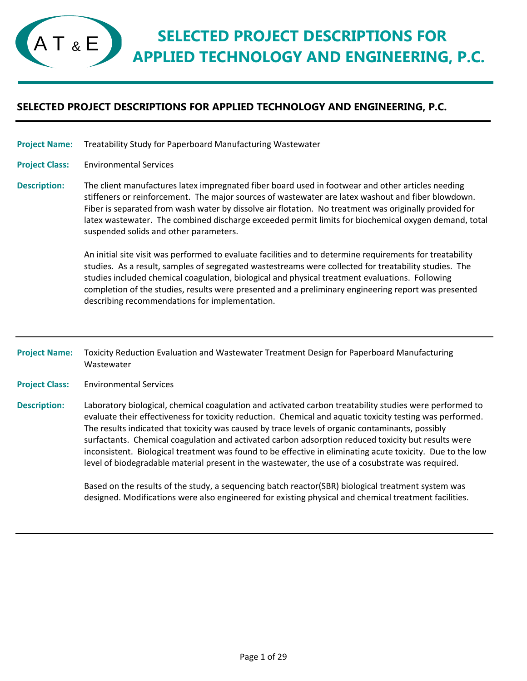Treatability Study for Paperboard Manufacturing Wastewater **Project Name:**

Environmental Services **Project Class:**

The client manufactures latex impregnated fiber board used in footwear and other articles needing stiffeners or reinforcement. The major sources of wastewater are latex washout and fiber blowdown. Fiber is separated from wash water by dissolve air flotation. No treatment was originally provided for latex wastewater. The combined discharge exceeded permit limits for biochemical oxygen demand, total suspended solids and other parameters. **Description:**

> An initial site visit was performed to evaluate facilities and to determine requirements for treatability studies. As a result, samples of segregated wastestreams were collected for treatability studies. The studies included chemical coagulation, biological and physical treatment evaluations. Following completion of the studies, results were presented and a preliminary engineering report was presented describing recommendations for implementation.

Toxicity Reduction Evaluation and Wastewater Treatment Design for Paperboard Manufacturing Wastewater **Project Name:**

Environmental Services **Project Class:**

Laboratory biological, chemical coagulation and activated carbon treatability studies were performed to evaluate their effectiveness for toxicity reduction. Chemical and aquatic toxicity testing was performed. The results indicated that toxicity was caused by trace levels of organic contaminants, possibly surfactants. Chemical coagulation and activated carbon adsorption reduced toxicity but results were inconsistent. Biological treatment was found to be effective in eliminating acute toxicity. Due to the low level of biodegradable material present in the wastewater, the use of a cosubstrate was required. **Description:**

> Based on the results of the study, a sequencing batch reactor(SBR) biological treatment system was designed. Modifications were also engineered for existing physical and chemical treatment facilities.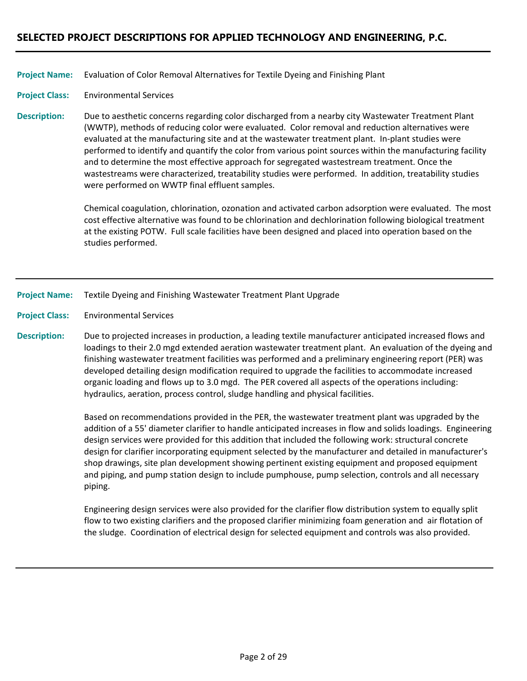#### Evaluation of Color Removal Alternatives for Textile Dyeing and Finishing Plant **Project Name:**

#### Environmental Services **Project Class:**

Due to aesthetic concerns regarding color discharged from a nearby city Wastewater Treatment Plant (WWTP), methods of reducing color were evaluated. Color removal and reduction alternatives were evaluated at the manufacturing site and at the wastewater treatment plant. In‐plant studies were performed to identify and quantify the color from various point sources within the manufacturing facility and to determine the most effective approach for segregated wastestream treatment. Once the wastestreams were characterized, treatability studies were performed. In addition, treatability studies were performed on WWTP final effluent samples. **Description:**

> Chemical coagulation, chlorination, ozonation and activated carbon adsorption were evaluated. The most cost effective alternative was found to be chlorination and dechlorination following biological treatment at the existing POTW. Full scale facilities have been designed and placed into operation based on the studies performed.

### Textile Dyeing and Finishing Wastewater Treatment Plant Upgrade **Project Name:**

Environmental Services **Project Class:**

Due to projected increases in production, a leading textile manufacturer anticipated increased flows and loadings to their 2.0 mgd extended aeration wastewater treatment plant. An evaluation of the dyeing and finishing wastewater treatment facilities was performed and a preliminary engineering report (PER) was developed detailing design modification required to upgrade the facilities to accommodate increased organic loading and flows up to 3.0 mgd. The PER covered all aspects of the operations including: hydraulics, aeration, process control, sludge handling and physical facilities. **Description:**

> Based on recommendations provided in the PER, the wastewater treatment plant was upgraded by the addition of a 55' diameter clarifier to handle anticipated increases in flow and solids loadings. Engineering design services were provided for this addition that included the following work: structural concrete design for clarifier incorporating equipment selected by the manufacturer and detailed in manufacturer's shop drawings, site plan development showing pertinent existing equipment and proposed equipment and piping, and pump station design to include pumphouse, pump selection, controls and all necessary piping.

Engineering design services were also provided for the clarifier flow distribution system to equally split flow to two existing clarifiers and the proposed clarifier minimizing foam generation and air flotation of the sludge. Coordination of electrical design for selected equipment and controls was also provided.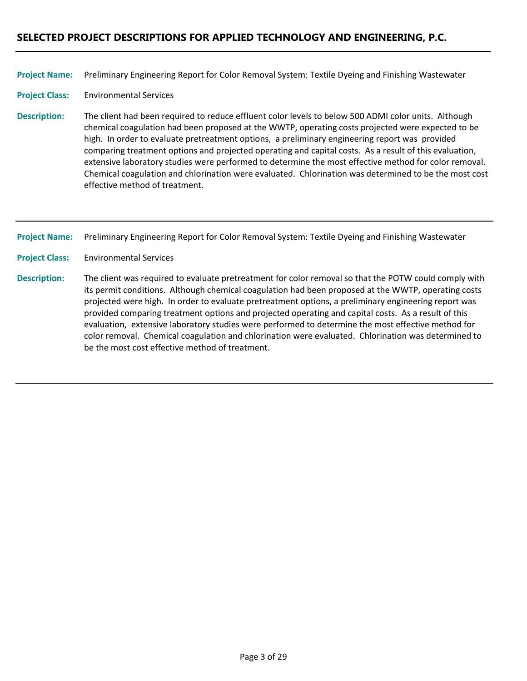Preliminary Engineering Report for Color Removal System: Textile Dyeing and Finishing Wastewater **Project Name:**

Environmental Services **Project Class:**

The client had been required to reduce effluent color levels to below 500 ADMI color units. Although chemical coagulation had been proposed at the WWTP, operating costs projected were expected to be high. In order to evaluate pretreatment options, a preliminary engineering report was provided comparing treatment options and projected operating and capital costs. As a result of this evaluation, extensive laboratory studies were performed to determine the most effective method for color removal. Chemical coagulation and chlorination were evaluated. Chlorination was determined to be the most cost effective method of treatment. **Description:**

Preliminary Engineering Report for Color Removal System: Textile Dyeing and Finishing Wastewater **Project Name:**

Environmental Services **Project Class:**

The client was required to evaluate pretreatment for color removal so that the POTW could comply with its permit conditions. Although chemical coagulation had been proposed at the WWTP, operating costs projected were high. In order to evaluate pretreatment options, a preliminary engineering report was provided comparing treatment options and projected operating and capital costs. As a result of this evaluation, extensive laboratory studies were performed to determine the most effective method for color removal. Chemical coagulation and chlorination were evaluated. Chlorination was determined to be the most cost effective method of treatment. **Description:**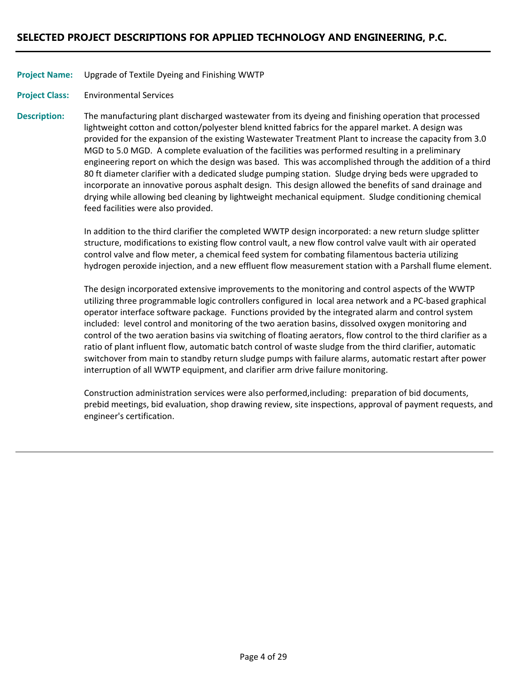### Upgrade of Textile Dyeing and Finishing WWTP **Project Name:**

Environmental Services **Project Class:**

The manufacturing plant discharged wastewater from its dyeing and finishing operation that processed lightweight cotton and cotton/polyester blend knitted fabrics for the apparel market. A design was provided for the expansion of the existing Wastewater Treatment Plant to increase the capacity from 3.0 MGD to 5.0 MGD. A complete evaluation of the facilities was performed resulting in a preliminary engineering report on which the design was based. This was accomplished through the addition of a third 80 ft diameter clarifier with a dedicated sludge pumping station. Sludge drying beds were upgraded to incorporate an innovative porous asphalt design. This design allowed the benefits of sand drainage and drying while allowing bed cleaning by lightweight mechanical equipment. Sludge conditioning chemical feed facilities were also provided. **Description:**

> In addition to the third clarifier the completed WWTP design incorporated: a new return sludge splitter structure, modifications to existing flow control vault, a new flow control valve vault with air operated control valve and flow meter, a chemical feed system for combating filamentous bacteria utilizing hydrogen peroxide injection, and a new effluent flow measurement station with a Parshall flume element.

> The design incorporated extensive improvements to the monitoring and control aspects of the WWTP utilizing three programmable logic controllers configured in local area network and a PC‐based graphical operator interface software package. Functions provided by the integrated alarm and control system included: level control and monitoring of the two aeration basins, dissolved oxygen monitoring and control of the two aeration basins via switching of floating aerators, flow control to the third clarifier as a ratio of plant influent flow, automatic batch control of waste sludge from the third clarifier, automatic switchover from main to standby return sludge pumps with failure alarms, automatic restart after power interruption of all WWTP equipment, and clarifier arm drive failure monitoring.

Construction administration services were also performed,including: preparation of bid documents, prebid meetings, bid evaluation, shop drawing review, site inspections, approval of payment requests, and engineer's certification.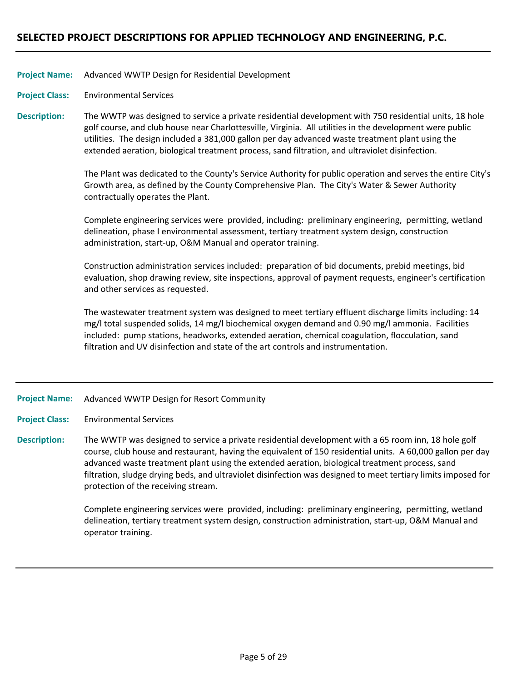### Advanced WWTP Design for Residential Development **Project Name:**

Environmental Services **Project Class:**

The WWTP was designed to service a private residential development with 750 residential units, 18 hole golf course, and club house near Charlottesville, Virginia. All utilities in the development were public utilities. The design included a 381,000 gallon per day advanced waste treatment plant using the extended aeration, biological treatment process, sand filtration, and ultraviolet disinfection. **Description:**

> The Plant was dedicated to the County's Service Authority for public operation and serves the entire City's Growth area, as defined by the County Comprehensive Plan. The City's Water & Sewer Authority contractually operates the Plant.

Complete engineering services were provided, including: preliminary engineering, permitting, wetland delineation, phase I environmental assessment, tertiary treatment system design, construction administration, start‐up, O&M Manual and operator training.

Construction administration services included: preparation of bid documents, prebid meetings, bid evaluation, shop drawing review, site inspections, approval of payment requests, engineer's certification and other services as requested.

The wastewater treatment system was designed to meet tertiary effluent discharge limits including: 14 mg/l total suspended solids, 14 mg/l biochemical oxygen demand and 0.90 mg/l ammonia. Facilities included: pump stations, headworks, extended aeration, chemical coagulation, flocculation, sand filtration and UV disinfection and state of the art controls and instrumentation.

#### Advanced WWTP Design for Resort Community **Project Name:**

Environmental Services **Project Class:**

The WWTP was designed to service a private residential development with a 65 room inn, 18 hole golf course, club house and restaurant, having the equivalent of 150 residential units. A 60,000 gallon per day advanced waste treatment plant using the extended aeration, biological treatment process, sand filtration, sludge drying beds, and ultraviolet disinfection was designed to meet tertiary limits imposed for protection of the receiving stream. **Description:**

> Complete engineering services were provided, including: preliminary engineering, permitting, wetland delineation, tertiary treatment system design, construction administration, start‐up, O&M Manual and operator training.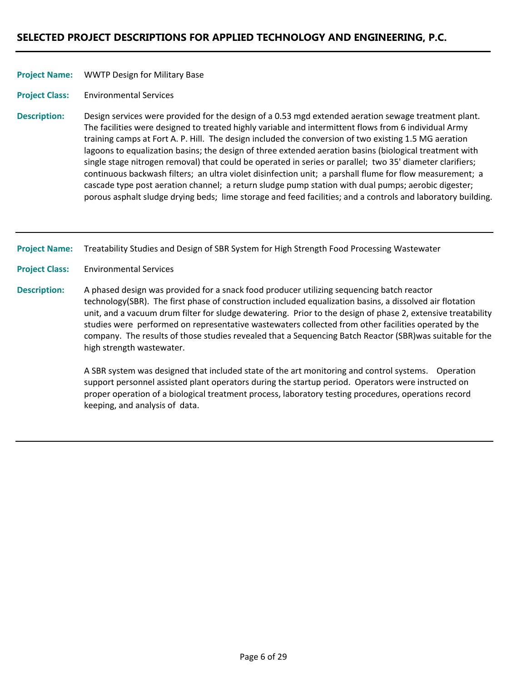### WWTP Design for Military Base **Project Name:**

Environmental Services **Project Class:**

Design services were provided for the design of a 0.53 mgd extended aeration sewage treatment plant. The facilities were designed to treated highly variable and intermittent flows from 6 individual Army training camps at Fort A. P. Hill. The design included the conversion of two existing 1.5 MG aeration lagoons to equalization basins; the design of three extended aeration basins (biological treatment with single stage nitrogen removal) that could be operated in series or parallel; two 35' diameter clarifiers; continuous backwash filters; an ultra violet disinfection unit; a parshall flume for flow measurement; a cascade type post aeration channel; a return sludge pump station with dual pumps; aerobic digester; porous asphalt sludge drying beds; lime storage and feed facilities; and a controls and laboratory building. **Description:**

Treatability Studies and Design of SBR System for High Strength Food Processing Wastewater **Project Name:**

Environmental Services **Project Class:**

A phased design was provided for a snack food producer utilizing sequencing batch reactor technology(SBR). The first phase of construction included equalization basins, a dissolved air flotation unit, and a vacuum drum filter for sludge dewatering. Prior to the design of phase 2, extensive treatability studies were performed on representative wastewaters collected from other facilities operated by the company. The results of those studies revealed that a Sequencing Batch Reactor (SBR)was suitable for the high strength wastewater. **Description:**

> A SBR system was designed that included state of the art monitoring and control systems. Operation support personnel assisted plant operators during the startup period. Operators were instructed on proper operation of a biological treatment process, laboratory testing procedures, operations record keeping, and analysis of data.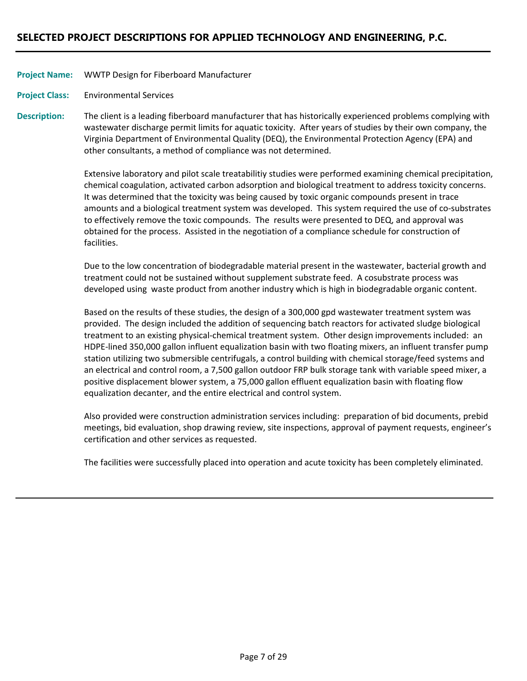### WWTP Design for Fiberboard Manufacturer **Project Name:**

Environmental Services **Project Class:**

The client is a leading fiberboard manufacturer that has historically experienced problems complying with wastewater discharge permit limits for aquatic toxicity. After years of studies by their own company, the Virginia Department of Environmental Quality (DEQ), the Environmental Protection Agency (EPA) and other consultants, a method of compliance was not determined. **Description:**

> Extensive laboratory and pilot scale treatabilitiy studies were performed examining chemical precipitation, chemical coagulation, activated carbon adsorption and biological treatment to address toxicity concerns. It was determined that the toxicity was being caused by toxic organic compounds present in trace amounts and a biological treatment system was developed. This system required the use of co‐substrates to effectively remove the toxic compounds. The results were presented to DEQ, and approval was obtained for the process. Assisted in the negotiation of a compliance schedule for construction of facilities.

Due to the low concentration of biodegradable material present in the wastewater, bacterial growth and treatment could not be sustained without supplement substrate feed. A cosubstrate process was developed using waste product from another industry which is high in biodegradable organic content.

Based on the results of these studies, the design of a 300,000 gpd wastewater treatment system was provided. The design included the addition of sequencing batch reactors for activated sludge biological treatment to an existing physical‐chemical treatment system. Other design improvements included: an HDPE‐lined 350,000 gallon influent equalization basin with two floating mixers, an influent transfer pump station utilizing two submersible centrifugals, a control building with chemical storage/feed systems and an electrical and control room, a 7,500 gallon outdoor FRP bulk storage tank with variable speed mixer, a positive displacement blower system, a 75,000 gallon effluent equalization basin with floating flow equalization decanter, and the entire electrical and control system.

Also provided were construction administration services including: preparation of bid documents, prebid meetings, bid evaluation, shop drawing review, site inspections, approval of payment requests, engineer's certification and other services as requested.

The facilities were successfully placed into operation and acute toxicity has been completely eliminated.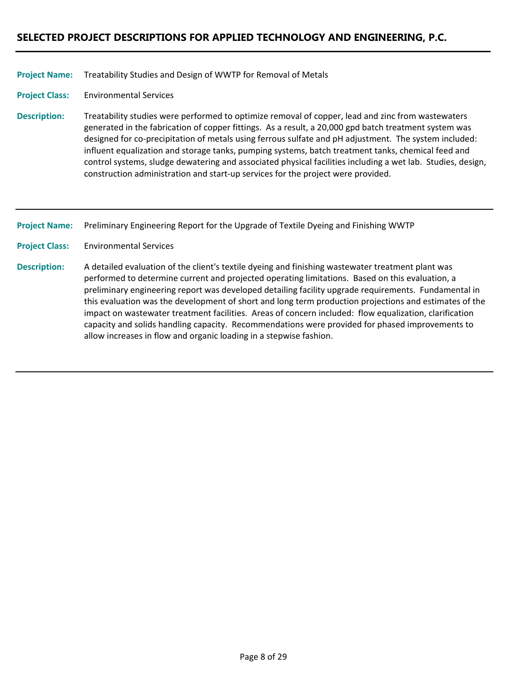### Treatability Studies and Design of WWTP for Removal of Metals **Project Name:**

Environmental Services **Project Class:**

Treatability studies were performed to optimize removal of copper, lead and zinc from wastewaters generated in the fabrication of copper fittings. As a result, a 20,000 gpd batch treatment system was designed for co-precipitation of metals using ferrous sulfate and pH adjustment. The system included: influent equalization and storage tanks, pumping systems, batch treatment tanks, chemical feed and control systems, sludge dewatering and associated physical facilities including a wet lab. Studies, design, construction administration and start‐up services for the project were provided. **Description:**

Preliminary Engineering Report for the Upgrade of Textile Dyeing and Finishing WWTP **Project Name:**

Environmental Services **Project Class:**

A detailed evaluation of the client's textile dyeing and finishing wastewater treatment plant was performed to determine current and projected operating limitations. Based on this evaluation, a preliminary engineering report was developed detailing facility upgrade requirements. Fundamental in this evaluation was the development of short and long term production projections and estimates of the impact on wastewater treatment facilities. Areas of concern included: flow equalization, clarification capacity and solids handling capacity. Recommendations were provided for phased improvements to allow increases in flow and organic loading in a stepwise fashion. **Description:**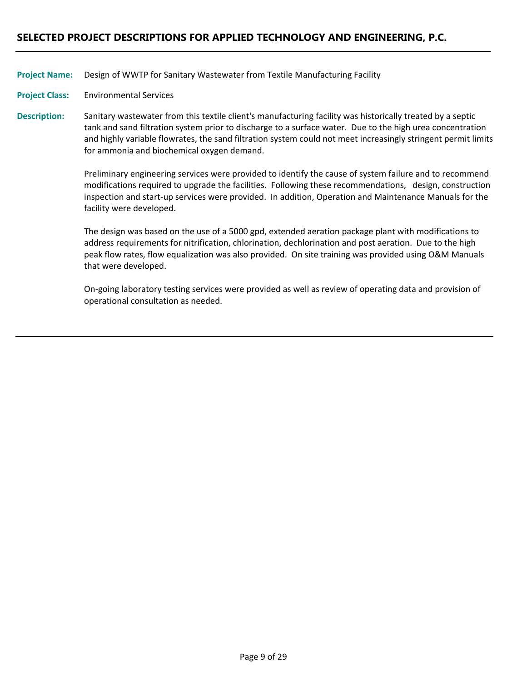Design of WWTP for Sanitary Wastewater from Textile Manufacturing Facility **Project Name:**

Environmental Services **Project Class:**

Sanitary wastewater from this textile client's manufacturing facility was historically treated by a septic tank and sand filtration system prior to discharge to a surface water. Due to the high urea concentration and highly variable flowrates, the sand filtration system could not meet increasingly stringent permit limits for ammonia and biochemical oxygen demand. **Description:**

> Preliminary engineering services were provided to identify the cause of system failure and to recommend modifications required to upgrade the facilities. Following these recommendations, design, construction inspection and start‐up services were provided. In addition, Operation and Maintenance Manuals for the facility were developed.

The design was based on the use of a 5000 gpd, extended aeration package plant with modifications to address requirements for nitrification, chlorination, dechlorination and post aeration. Due to the high peak flow rates, flow equalization was also provided. On site training was provided using O&M Manuals that were developed.

On‐going laboratory testing services were provided as well as review of operating data and provision of operational consultation as needed.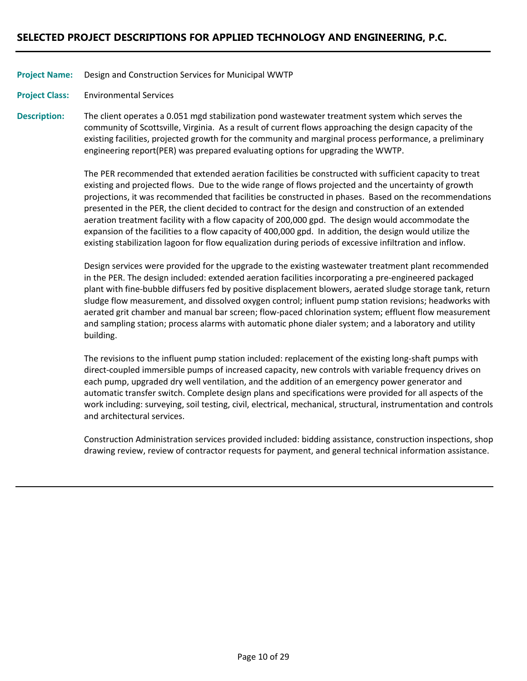Design and Construction Services for Municipal WWTP **Project Name:**

Environmental Services **Project Class:**

The client operates a 0.051 mgd stabilization pond wastewater treatment system which serves the community of Scottsville, Virginia. As a result of current flows approaching the design capacity of the existing facilities, projected growth for the community and marginal process performance, a preliminary engineering report(PER) was prepared evaluating options for upgrading the WWTP. **Description:**

> The PER recommended that extended aeration facilities be constructed with sufficient capacity to treat existing and projected flows. Due to the wide range of flows projected and the uncertainty of growth projections, it was recommended that facilities be constructed in phases. Based on the recommendations presented in the PER, the client decided to contract for the design and construction of an extended aeration treatment facility with a flow capacity of 200,000 gpd. The design would accommodate the expansion of the facilities to a flow capacity of 400,000 gpd. In addition, the design would utilize the existing stabilization lagoon for flow equalization during periods of excessive infiltration and inflow.

> Design services were provided for the upgrade to the existing wastewater treatment plant recommended in the PER. The design included: extended aeration facilities incorporating a pre‐engineered packaged plant with fine‐bubble diffusers fed by positive displacement blowers, aerated sludge storage tank, return sludge flow measurement, and dissolved oxygen control; influent pump station revisions; headworks with aerated grit chamber and manual bar screen; flow‐paced chlorination system; effluent flow measurement and sampling station; process alarms with automatic phone dialer system; and a laboratory and utility building.

> The revisions to the influent pump station included: replacement of the existing long-shaft pumps with direct‐coupled immersible pumps of increased capacity, new controls with variable frequency drives on each pump, upgraded dry well ventilation, and the addition of an emergency power generator and automatic transfer switch. Complete design plans and specifications were provided for all aspects of the work including: surveying, soil testing, civil, electrical, mechanical, structural, instrumentation and controls and architectural services.

> Construction Administration services provided included: bidding assistance, construction inspections, shop drawing review, review of contractor requests for payment, and general technical information assistance.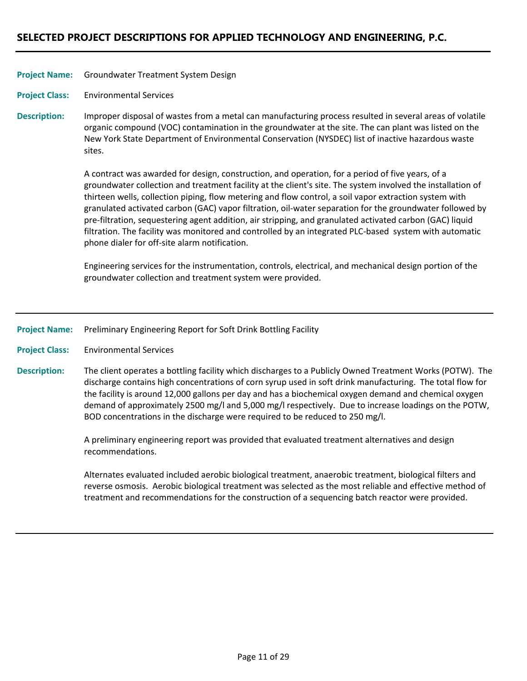### Groundwater Treatment System Design **Project Name:**

Environmental Services **Project Class:**

Improper disposal of wastes from a metal can manufacturing process resulted in several areas of volatile organic compound (VOC) contamination in the groundwater at the site. The can plant was listed on the New York State Department of Environmental Conservation (NYSDEC) list of inactive hazardous waste sites. **Description:**

> A contract was awarded for design, construction, and operation, for a period of five years, of a groundwater collection and treatment facility at the client's site. The system involved the installation of thirteen wells, collection piping, flow metering and flow control, a soil vapor extraction system with granulated activated carbon (GAC) vapor filtration, oil‐water separation for the groundwater followed by pre‐filtration, sequestering agent addition, air stripping, and granulated activated carbon (GAC) liquid filtration. The facility was monitored and controlled by an integrated PLC‐based system with automatic phone dialer for off‐site alarm notification.

Engineering services for the instrumentation, controls, electrical, and mechanical design portion of the groundwater collection and treatment system were provided.

Preliminary Engineering Report for Soft Drink Bottling Facility **Project Name:**

Environmental Services **Project Class:**

The client operates a bottling facility which discharges to a Publicly Owned Treatment Works (POTW). The discharge contains high concentrations of corn syrup used in soft drink manufacturing. The total flow for the facility is around 12,000 gallons per day and has a biochemical oxygen demand and chemical oxygen demand of approximately 2500 mg/l and 5,000 mg/l respectively. Due to increase loadings on the POTW, BOD concentrations in the discharge were required to be reduced to 250 mg/l. **Description:**

> A preliminary engineering report was provided that evaluated treatment alternatives and design recommendations.

Alternates evaluated included aerobic biological treatment, anaerobic treatment, biological filters and reverse osmosis. Aerobic biological treatment was selected as the most reliable and effective method of treatment and recommendations for the construction of a sequencing batch reactor were provided.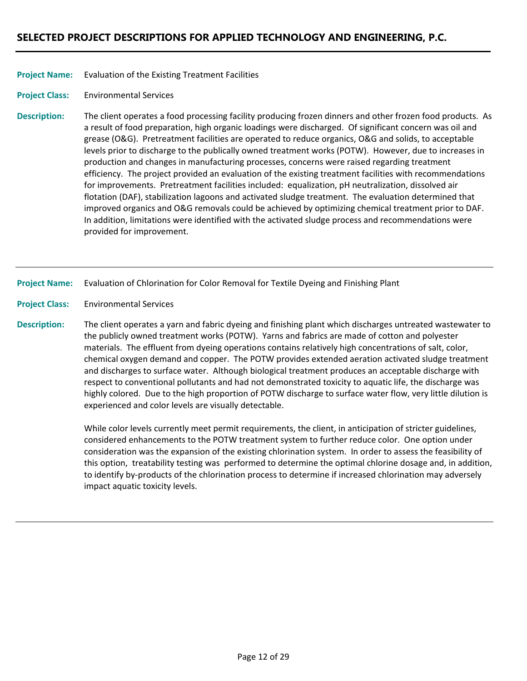### Evaluation of the Existing Treatment Facilities **Project Name:**

Environmental Services **Project Class:**

The client operates a food processing facility producing frozen dinners and other frozen food products. As a result of food preparation, high organic loadings were discharged. Of significant concern was oil and grease (O&G). Pretreatment facilities are operated to reduce organics, O&G and solids, to acceptable levels prior to discharge to the publically owned treatment works (POTW). However, due to increases in production and changes in manufacturing processes, concerns were raised regarding treatment efficiency. The project provided an evaluation of the existing treatment facilities with recommendations for improvements. Pretreatment facilities included: equalization, pH neutralization, dissolved air flotation (DAF), stabilization lagoons and activated sludge treatment. The evaluation determined that improved organics and O&G removals could be achieved by optimizing chemical treatment prior to DAF. In addition, limitations were identified with the activated sludge process and recommendations were provided for improvement. **Description:**

Evaluation of Chlorination for Color Removal for Textile Dyeing and Finishing Plant **Project Name:**

Environmental Services **Project Class:**

The client operates a yarn and fabric dyeing and finishing plant which discharges untreated wastewater to the publicly owned treatment works (POTW). Yarns and fabrics are made of cotton and polyester materials. The effluent from dyeing operations contains relatively high concentrations of salt, color, chemical oxygen demand and copper. The POTW provides extended aeration activated sludge treatment and discharges to surface water. Although biological treatment produces an acceptable discharge with respect to conventional pollutants and had not demonstrated toxicity to aquatic life, the discharge was highly colored. Due to the high proportion of POTW discharge to surface water flow, very little dilution is experienced and color levels are visually detectable. **Description:**

> While color levels currently meet permit requirements, the client, in anticipation of stricter guidelines, considered enhancements to the POTW treatment system to further reduce color. One option under consideration was the expansion of the existing chlorination system. In order to assess the feasibility of this option, treatability testing was performed to determine the optimal chlorine dosage and, in addition, to identify by‐products of the chlorination process to determine if increased chlorination may adversely impact aquatic toxicity levels.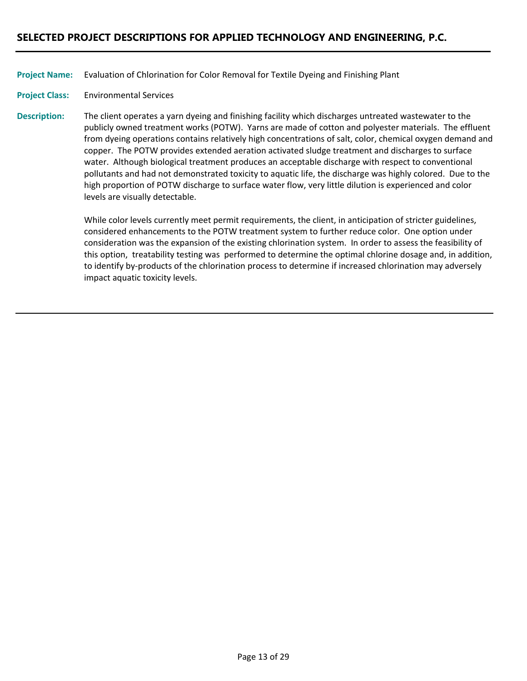Evaluation of Chlorination for Color Removal for Textile Dyeing and Finishing Plant **Project Name:**

Environmental Services **Project Class:**

The client operates a yarn dyeing and finishing facility which discharges untreated wastewater to the publicly owned treatment works (POTW). Yarns are made of cotton and polyester materials. The effluent from dyeing operations contains relatively high concentrations of salt, color, chemical oxygen demand and copper. The POTW provides extended aeration activated sludge treatment and discharges to surface water. Although biological treatment produces an acceptable discharge with respect to conventional pollutants and had not demonstrated toxicity to aquatic life, the discharge was highly colored. Due to the high proportion of POTW discharge to surface water flow, very little dilution is experienced and color levels are visually detectable. **Description:**

> While color levels currently meet permit requirements, the client, in anticipation of stricter guidelines, considered enhancements to the POTW treatment system to further reduce color. One option under consideration was the expansion of the existing chlorination system. In order to assess the feasibility of this option, treatability testing was performed to determine the optimal chlorine dosage and, in addition, to identify by-products of the chlorination process to determine if increased chlorination may adversely impact aquatic toxicity levels.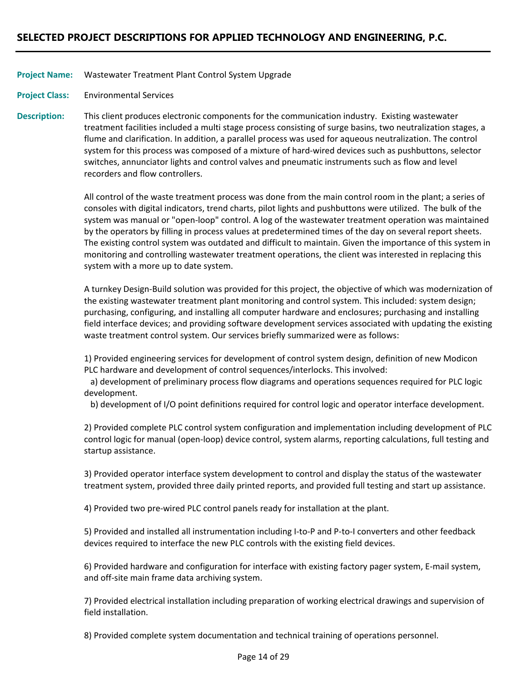### Wastewater Treatment Plant Control System Upgrade **Project Name:**

Environmental Services **Project Class:**

This client produces electronic components for the communication industry. Existing wastewater treatment facilities included a multi stage process consisting of surge basins, two neutralization stages, a flume and clarification. In addition, a parallel process was used for aqueous neutralization. The control system for this process was composed of a mixture of hard‐wired devices such as pushbuttons, selector switches, annunciator lights and control valves and pneumatic instruments such as flow and level recorders and flow controllers. **Description:**

> All control of the waste treatment process was done from the main control room in the plant; a series of consoles with digital indicators, trend charts, pilot lights and pushbuttons were utilized. The bulk of the system was manual or "open‐loop" control. A log of the wastewater treatment operation was maintained by the operators by filling in process values at predetermined times of the day on several report sheets. The existing control system was outdated and difficult to maintain. Given the importance of this system in monitoring and controlling wastewater treatment operations, the client was interested in replacing this system with a more up to date system.

> A turnkey Design‐Build solution was provided for this project, the objective of which was modernization of the existing wastewater treatment plant monitoring and control system. This included: system design; purchasing, configuring, and installing all computer hardware and enclosures; purchasing and installing field interface devices; and providing software development services associated with updating the existing waste treatment control system. Our services briefly summarized were as follows:

1) Provided engineering services for development of control system design, definition of new Modicon PLC hardware and development of control sequences/interlocks. This involved:

 a) development of preliminary process flow diagrams and operations sequences required for PLC logic development.

b) development of I/O point definitions required for control logic and operator interface development.

2) Provided complete PLC control system configuration and implementation including development of PLC control logic for manual (open‐loop) device control, system alarms, reporting calculations, full testing and startup assistance.

3) Provided operator interface system development to control and display the status of the wastewater treatment system, provided three daily printed reports, and provided full testing and start up assistance.

4) Provided two pre‐wired PLC control panels ready for installation at the plant.

5) Provided and installed all instrumentation including I‐to‐P and P‐to‐I converters and other feedback devices required to interface the new PLC controls with the existing field devices.

6) Provided hardware and configuration for interface with existing factory pager system, E‐mail system, and off‐site main frame data archiving system.

7) Provided electrical installation including preparation of working electrical drawings and supervision of field installation.

8) Provided complete system documentation and technical training of operations personnel.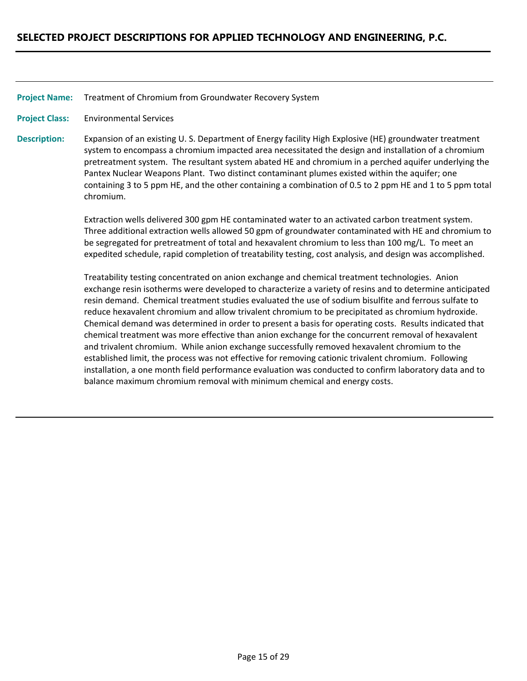Treatment of Chromium from Groundwater Recovery System **Project Name:**

Environmental Services **Project Class:**

Expansion of an existing U. S. Department of Energy facility High Explosive (HE) groundwater treatment system to encompass a chromium impacted area necessitated the design and installation of a chromium pretreatment system. The resultant system abated HE and chromium in a perched aquifer underlying the Pantex Nuclear Weapons Plant. Two distinct contaminant plumes existed within the aquifer; one containing 3 to 5 ppm HE, and the other containing a combination of 0.5 to 2 ppm HE and 1 to 5 ppm total chromium. **Description:**

> Extraction wells delivered 300 gpm HE contaminated water to an activated carbon treatment system. Three additional extraction wells allowed 50 gpm of groundwater contaminated with HE and chromium to be segregated for pretreatment of total and hexavalent chromium to less than 100 mg/L. To meet an expedited schedule, rapid completion of treatability testing, cost analysis, and design was accomplished.

> Treatability testing concentrated on anion exchange and chemical treatment technologies. Anion exchange resin isotherms were developed to characterize a variety of resins and to determine anticipated resin demand. Chemical treatment studies evaluated the use of sodium bisulfite and ferrous sulfate to reduce hexavalent chromium and allow trivalent chromium to be precipitated as chromium hydroxide. Chemical demand was determined in order to present a basis for operating costs. Results indicated that chemical treatment was more effective than anion exchange for the concurrent removal of hexavalent and trivalent chromium. While anion exchange successfully removed hexavalent chromium to the established limit, the process was not effective for removing cationic trivalent chromium. Following installation, a one month field performance evaluation was conducted to confirm laboratory data and to balance maximum chromium removal with minimum chemical and energy costs.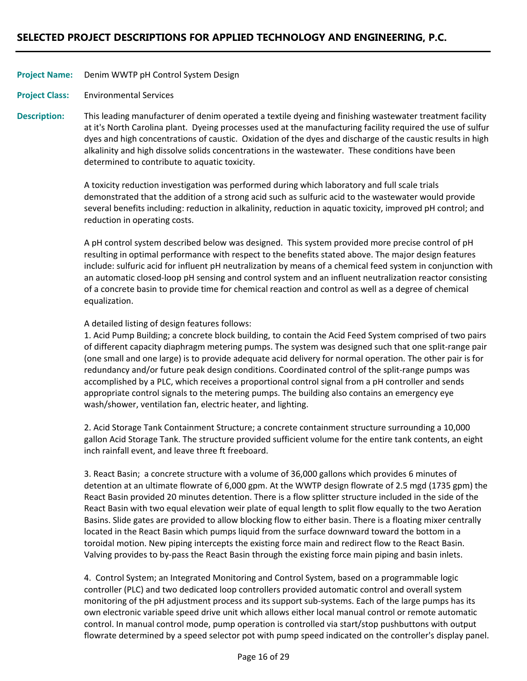### Denim WWTP pH Control System Design **Project Name:**

Environmental Services **Project Class:**

This leading manufacturer of denim operated a textile dyeing and finishing wastewater treatment facility at it's North Carolina plant. Dyeing processes used at the manufacturing facility required the use of sulfur dyes and high concentrations of caustic. Oxidation of the dyes and discharge of the caustic results in high alkalinity and high dissolve solids concentrations in the wastewater. These conditions have been determined to contribute to aquatic toxicity. **Description:**

> A toxicity reduction investigation was performed during which laboratory and full scale trials demonstrated that the addition of a strong acid such as sulfuric acid to the wastewater would provide several benefits including: reduction in alkalinity, reduction in aquatic toxicity, improved pH control; and reduction in operating costs.

A pH control system described below was designed. This system provided more precise control of pH resulting in optimal performance with respect to the benefits stated above. The major design features include: sulfuric acid for influent pH neutralization by means of a chemical feed system in conjunction with an automatic closed‐loop pH sensing and control system and an influent neutralization reactor consisting of a concrete basin to provide time for chemical reaction and control as well as a degree of chemical equalization.

A detailed listing of design features follows:

1. Acid Pump Building; a concrete block building, to contain the Acid Feed System comprised of two pairs of different capacity diaphragm metering pumps. The system was designed such that one split‐range pair (one small and one large) is to provide adequate acid delivery for normal operation. The other pair is for redundancy and/or future peak design conditions. Coordinated control of the split‐range pumps was accomplished by a PLC, which receives a proportional control signal from a pH controller and sends appropriate control signals to the metering pumps. The building also contains an emergency eye wash/shower, ventilation fan, electric heater, and lighting.

2. Acid Storage Tank Containment Structure; a concrete containment structure surrounding a 10,000 gallon Acid Storage Tank. The structure provided sufficient volume for the entire tank contents, an eight inch rainfall event, and leave three ft freeboard.

3. React Basin; a concrete structure with a volume of 36,000 gallons which provides 6 minutes of detention at an ultimate flowrate of 6,000 gpm. At the WWTP design flowrate of 2.5 mgd (1735 gpm) the React Basin provided 20 minutes detention. There is a flow splitter structure included in the side of the React Basin with two equal elevation weir plate of equal length to split flow equally to the two Aeration Basins. Slide gates are provided to allow blocking flow to either basin. There is a floating mixer centrally located in the React Basin which pumps liquid from the surface downward toward the bottom in a toroidal motion. New piping intercepts the existing force main and redirect flow to the React Basin. Valving provides to by‐pass the React Basin through the existing force main piping and basin inlets.

4. Control System; an Integrated Monitoring and Control System, based on a programmable logic controller (PLC) and two dedicated loop controllers provided automatic control and overall system monitoring of the pH adjustment process and its support sub-systems. Each of the large pumps has its own electronic variable speed drive unit which allows either local manual control or remote automatic control. In manual control mode, pump operation is controlled via start/stop pushbuttons with output flowrate determined by a speed selector pot with pump speed indicated on the controller's display panel.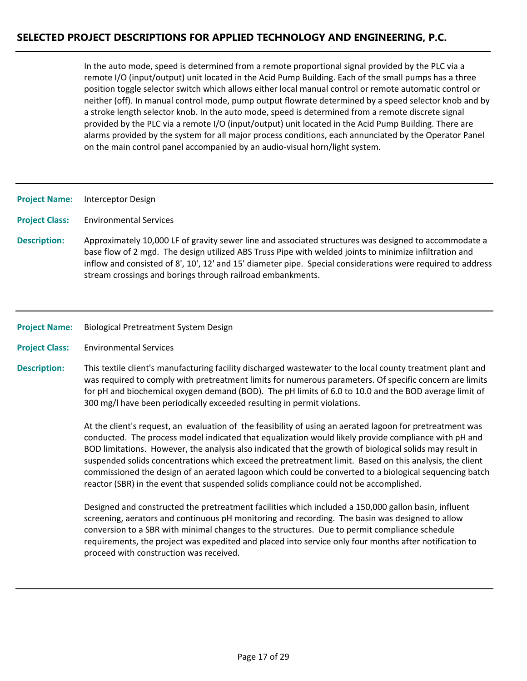In the auto mode, speed is determined from a remote proportional signal provided by the PLC via a remote I/O (input/output) unit located in the Acid Pump Building. Each of the small pumps has a three position toggle selector switch which allows either local manual control or remote automatic control or neither (off). In manual control mode, pump output flowrate determined by a speed selector knob and by a stroke length selector knob. In the auto mode, speed is determined from a remote discrete signal provided by the PLC via a remote I/O (input/output) unit located in the Acid Pump Building. There are alarms provided by the system for all major process conditions, each annunciated by the Operator Panel on the main control panel accompanied by an audio‐visual horn/light system.

Interceptor Design **Project Name:**

Environmental Services **Project Class:**

- Approximately 10,000 LF of gravity sewer line and associated structures was designed to accommodate a base flow of 2 mgd. The design utilized ABS Truss Pipe with welded joints to minimize infiltration and inflow and consisted of 8', 10', 12' and 15' diameter pipe. Special considerations were required to address stream crossings and borings through railroad embankments. **Description:**
- Biological Pretreatment System Design **Project Name:**
- Environmental Services **Project Class:**
- This textile client's manufacturing facility discharged wastewater to the local county treatment plant and was required to comply with pretreatment limits for numerous parameters. Of specific concern are limits for pH and biochemical oxygen demand (BOD). The pH limits of 6.0 to 10.0 and the BOD average limit of 300 mg/l have been periodically exceeded resulting in permit violations. **Description:**

At the client's request, an evaluation of the feasibility of using an aerated lagoon for pretreatment was conducted. The process model indicated that equalization would likely provide compliance with pH and BOD limitations. However, the analysis also indicated that the growth of biological solids may result in suspended solids concentrations which exceed the pretreatment limit. Based on this analysis, the client commissioned the design of an aerated lagoon which could be converted to a biological sequencing batch reactor (SBR) in the event that suspended solids compliance could not be accomplished.

Designed and constructed the pretreatment facilities which included a 150,000 gallon basin, influent screening, aerators and continuous pH monitoring and recording. The basin was designed to allow conversion to a SBR with minimal changes to the structures. Due to permit compliance schedule requirements, the project was expedited and placed into service only four months after notification to proceed with construction was received.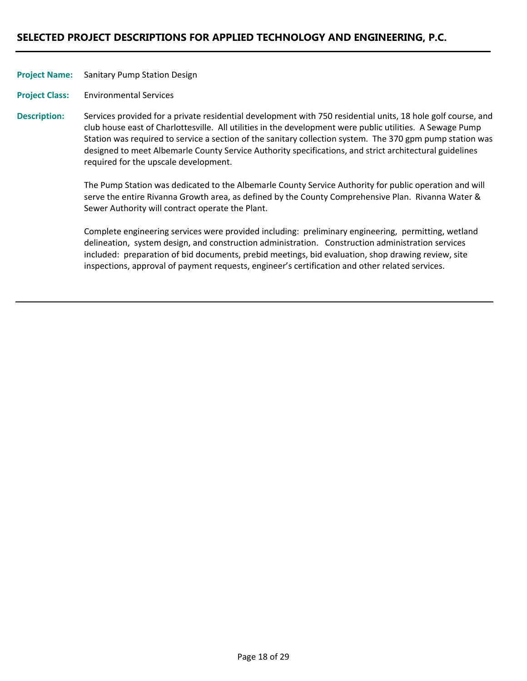| <b>Project Name:</b> | <b>Sanitary Pump Station Design</b> |
|----------------------|-------------------------------------|
|----------------------|-------------------------------------|

Environmental Services **Project Class:**

Services provided for a private residential development with 750 residential units, 18 hole golf course, and club house east of Charlottesville. All utilities in the development were public utilities. A Sewage Pump Station was required to service a section of the sanitary collection system. The 370 gpm pump station was designed to meet Albemarle County Service Authority specifications, and strict architectural guidelines required for the upscale development. **Description:**

> The Pump Station was dedicated to the Albemarle County Service Authority for public operation and will serve the entire Rivanna Growth area, as defined by the County Comprehensive Plan. Rivanna Water & Sewer Authority will contract operate the Plant.

Complete engineering services were provided including: preliminary engineering, permitting, wetland delineation, system design, and construction administration. Construction administration services included: preparation of bid documents, prebid meetings, bid evaluation, shop drawing review, site inspections, approval of payment requests, engineer's certification and other related services.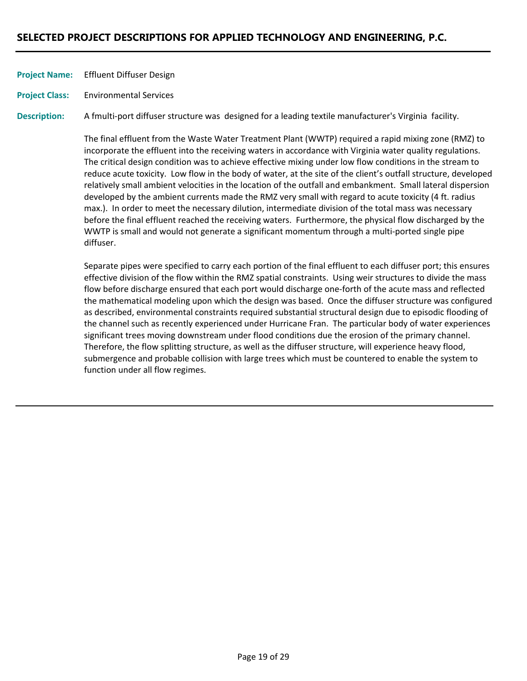Effluent Diffuser Design **Project Name:**

Environmental Services **Project Class:**

A fmulti‐port diffuser structure was designed for a leading textile manufacturer's Virginia facility. **Description:**

> The final effluent from the Waste Water Treatment Plant (WWTP) required a rapid mixing zone (RMZ) to incorporate the effluent into the receiving waters in accordance with Virginia water quality regulations. The critical design condition was to achieve effective mixing under low flow conditions in the stream to reduce acute toxicity. Low flow in the body of water, at the site of the client's outfall structure, developed relatively small ambient velocities in the location of the outfall and embankment. Small lateral dispersion developed by the ambient currents made the RMZ very small with regard to acute toxicity (4 ft. radius max.). In order to meet the necessary dilution, intermediate division of the total mass was necessary before the final effluent reached the receiving waters. Furthermore, the physical flow discharged by the WWTP is small and would not generate a significant momentum through a multi-ported single pipe diffuser.

> Separate pipes were specified to carry each portion of the final effluent to each diffuser port; this ensures effective division of the flow within the RMZ spatial constraints. Using weir structures to divide the mass flow before discharge ensured that each port would discharge one‐forth of the acute mass and reflected the mathematical modeling upon which the design was based. Once the diffuser structure was configured as described, environmental constraints required substantial structural design due to episodic flooding of the channel such as recently experienced under Hurricane Fran. The particular body of water experiences significant trees moving downstream under flood conditions due the erosion of the primary channel. Therefore, the flow splitting structure, as well as the diffuser structure, will experience heavy flood, submergence and probable collision with large trees which must be countered to enable the system to function under all flow regimes.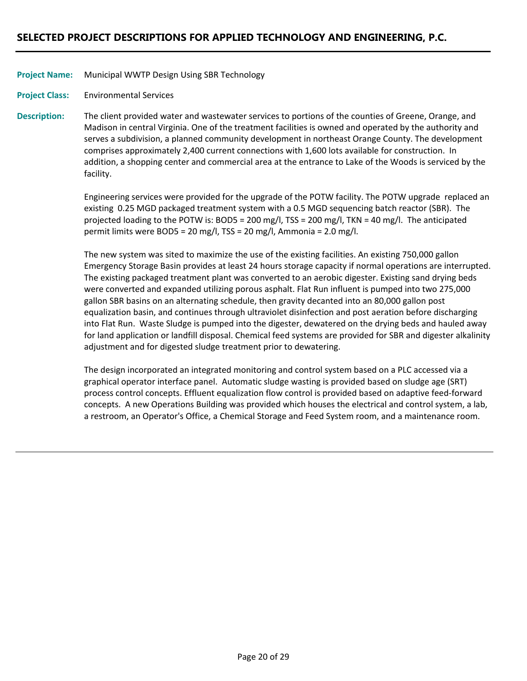### Municipal WWTP Design Using SBR Technology **Project Name:**

Environmental Services **Project Class:**

The client provided water and wastewater services to portions of the counties of Greene, Orange, and Madison in central Virginia. One of the treatment facilities is owned and operated by the authority and serves a subdivision, a planned community development in northeast Orange County. The development comprises approximately 2,400 current connections with 1,600 lots available for construction. In addition, a shopping center and commercial area at the entrance to Lake of the Woods is serviced by the facility. **Description:**

> Engineering services were provided for the upgrade of the POTW facility. The POTW upgrade replaced an existing 0.25 MGD packaged treatment system with a 0.5 MGD sequencing batch reactor (SBR). The projected loading to the POTW is: BOD5 = 200 mg/l, TSS = 200 mg/l, TKN = 40 mg/l. The anticipated permit limits were BOD5 = 20 mg/l, TSS = 20 mg/l, Ammonia = 2.0 mg/l.

> The new system was sited to maximize the use of the existing facilities. An existing 750,000 gallon Emergency Storage Basin provides at least 24 hours storage capacity if normal operations are interrupted. The existing packaged treatment plant was converted to an aerobic digester. Existing sand drying beds were converted and expanded utilizing porous asphalt. Flat Run influent is pumped into two 275,000 gallon SBR basins on an alternating schedule, then gravity decanted into an 80,000 gallon post equalization basin, and continues through ultraviolet disinfection and post aeration before discharging into Flat Run. Waste Sludge is pumped into the digester, dewatered on the drying beds and hauled away for land application or landfill disposal. Chemical feed systems are provided for SBR and digester alkalinity adjustment and for digested sludge treatment prior to dewatering.

The design incorporated an integrated monitoring and control system based on a PLC accessed via a graphical operator interface panel. Automatic sludge wasting is provided based on sludge age (SRT) process control concepts. Effluent equalization flow control is provided based on adaptive feed‐forward concepts. A new Operations Building was provided which houses the electrical and control system, a lab, a restroom, an Operator's Office, a Chemical Storage and Feed System room, and a maintenance room.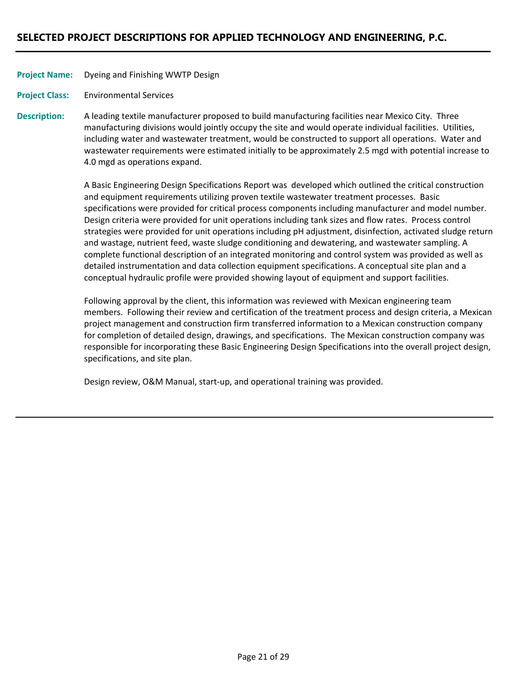Dyeing and Finishing WWTP Design **Project Name:**

Environmental Services **Project Class:**

A leading textile manufacturer proposed to build manufacturing facilities near Mexico City. Three manufacturing divisions would jointly occupy the site and would operate individual facilities. Utilities, including water and wastewater treatment, would be constructed to support all operations. Water and wastewater requirements were estimated initially to be approximately 2.5 mgd with potential increase to 4.0 mgd as operations expand. **Description:**

> A Basic Engineering Design Specifications Report was developed which outlined the critical construction and equipment requirements utilizing proven textile wastewater treatment processes. Basic specifications were provided for critical process components including manufacturer and model number. Design criteria were provided for unit operations including tank sizes and flow rates. Process control strategies were provided for unit operations including pH adjustment, disinfection, activated sludge return and wastage, nutrient feed, waste sludge conditioning and dewatering, and wastewater sampling. A complete functional description of an integrated monitoring and control system was provided as well as detailed instrumentation and data collection equipment specifications. A conceptual site plan and a conceptual hydraulic profile were provided showing layout of equipment and support facilities.

> Following approval by the client, this information was reviewed with Mexican engineering team members. Following their review and certification of the treatment process and design criteria, a Mexican project management and construction firm transferred information to a Mexican construction company for completion of detailed design, drawings, and specifications. The Mexican construction company was responsible for incorporating these Basic Engineering Design Specifications into the overall project design, specifications, and site plan.

Design review, O&M Manual, start‐up, and operational training was provided.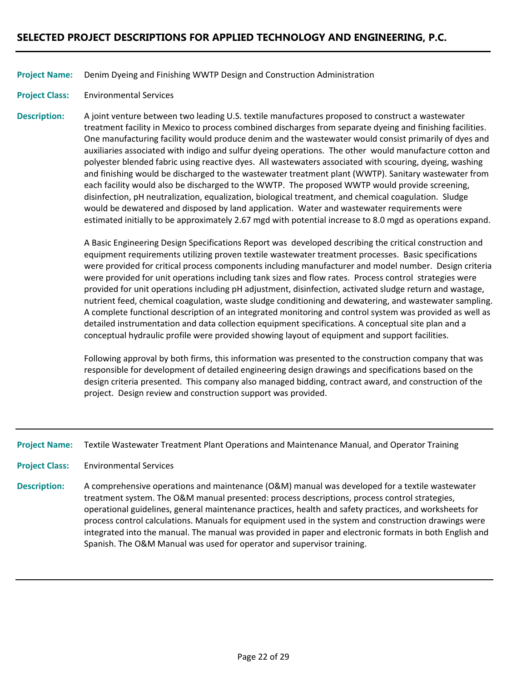### Denim Dyeing and Finishing WWTP Design and Construction Administration **Project Name:**

Environmental Services **Project Class:**

A joint venture between two leading U.S. textile manufactures proposed to construct a wastewater treatment facility in Mexico to process combined discharges from separate dyeing and finishing facilities. One manufacturing facility would produce denim and the wastewater would consist primarily of dyes and auxiliaries associated with indigo and sulfur dyeing operations. The other would manufacture cotton and polyester blended fabric using reactive dyes. All wastewaters associated with scouring, dyeing, washing and finishing would be discharged to the wastewater treatment plant (WWTP). Sanitary wastewater from each facility would also be discharged to the WWTP. The proposed WWTP would provide screening, disinfection, pH neutralization, equalization, biological treatment, and chemical coagulation. Sludge would be dewatered and disposed by land application. Water and wastewater requirements were estimated initially to be approximately 2.67 mgd with potential increase to 8.0 mgd as operations expand. **Description:**

> A Basic Engineering Design Specifications Report was developed describing the critical construction and equipment requirements utilizing proven textile wastewater treatment processes. Basic specifications were provided for critical process components including manufacturer and model number. Design criteria were provided for unit operations including tank sizes and flow rates. Process control strategies were provided for unit operations including pH adjustment, disinfection, activated sludge return and wastage, nutrient feed, chemical coagulation, waste sludge conditioning and dewatering, and wastewater sampling. A complete functional description of an integrated monitoring and control system was provided as well as detailed instrumentation and data collection equipment specifications. A conceptual site plan and a conceptual hydraulic profile were provided showing layout of equipment and support facilities.

Following approval by both firms, this information was presented to the construction company that was responsible for development of detailed engineering design drawings and specifications based on the design criteria presented. This company also managed bidding, contract award, and construction of the project. Design review and construction support was provided.

Textile Wastewater Treatment Plant Operations and Maintenance Manual, and Operator Training **Project Name:**

- Environmental Services **Project Class:**
- A comprehensive operations and maintenance (O&M) manual was developed for a textile wastewater treatment system. The O&M manual presented: process descriptions, process control strategies, operational guidelines, general maintenance practices, health and safety practices, and worksheets for process control calculations. Manuals for equipment used in the system and construction drawings were integrated into the manual. The manual was provided in paper and electronic formats in both English and Spanish. The O&M Manual was used for operator and supervisor training. **Description:**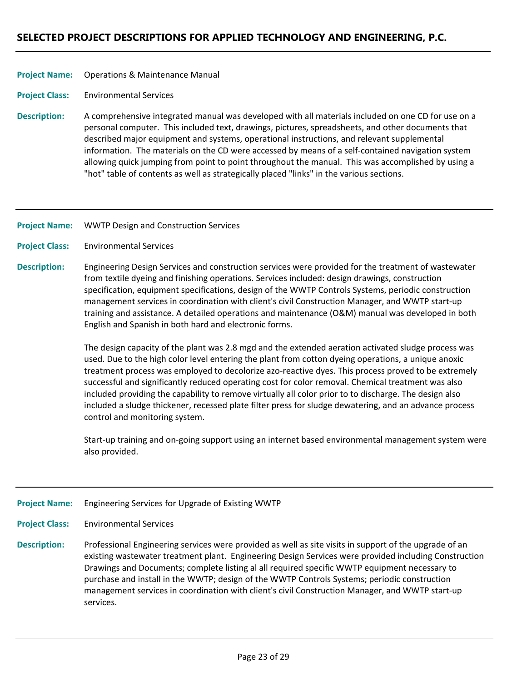### Operations & Maintenance Manual **Project Name:**

#### Environmental Services **Project Class:**

A comprehensive integrated manual was developed with all materials included on one CD for use on a personal computer. This included text, drawings, pictures, spreadsheets, and other documents that described major equipment and systems, operational instructions, and relevant supplemental information. The materials on the CD were accessed by means of a self-contained navigation system allowing quick jumping from point to point throughout the manual. This was accomplished by using a "hot" table of contents as well as strategically placed "links" in the various sections. **Description:**

#### WWTP Design and Construction Services **Project Name:**

#### Environmental Services **Project Class:**

Engineering Design Services and construction services were provided for the treatment of wastewater from textile dyeing and finishing operations. Services included: design drawings, construction specification, equipment specifications, design of the WWTP Controls Systems, periodic construction management services in coordination with client's civil Construction Manager, and WWTP start‐up training and assistance. A detailed operations and maintenance (O&M) manual was developed in both English and Spanish in both hard and electronic forms. **Description:**

> The design capacity of the plant was 2.8 mgd and the extended aeration activated sludge process was used. Due to the high color level entering the plant from cotton dyeing operations, a unique anoxic treatment process was employed to decolorize azo-reactive dyes. This process proved to be extremely successful and significantly reduced operating cost for color removal. Chemical treatment was also included providing the capability to remove virtually all color prior to to discharge. The design also included a sludge thickener, recessed plate filter press for sludge dewatering, and an advance process control and monitoring system.

Start-up training and on-going support using an internet based environmental management system were also provided.

#### Engineering Services for Upgrade of Existing WWTP **Project Name:**

- Environmental Services **Project Class:**
- Professional Engineering services were provided as well as site visits in support of the upgrade of an existing wastewater treatment plant. Engineering Design Services were provided including Construction Drawings and Documents; complete listing al all required specific WWTP equipment necessary to purchase and install in the WWTP; design of the WWTP Controls Systems; periodic construction management services in coordination with client's civil Construction Manager, and WWTP start‐up services. **Description:**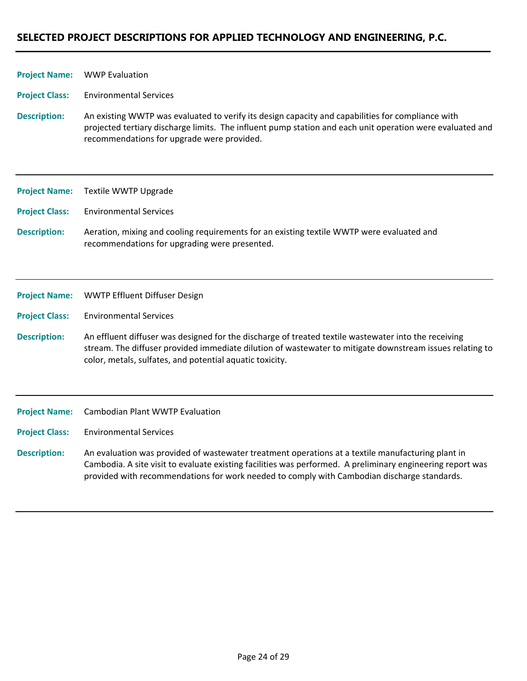| <b>Project Name:</b>  | <b>WWP Evaluation</b>                                                                                                                                                                                                                                                        |
|-----------------------|------------------------------------------------------------------------------------------------------------------------------------------------------------------------------------------------------------------------------------------------------------------------------|
| <b>Project Class:</b> | <b>Environmental Services</b>                                                                                                                                                                                                                                                |
| <b>Description:</b>   | An existing WWTP was evaluated to verify its design capacity and capabilities for compliance with<br>projected tertiary discharge limits. The influent pump station and each unit operation were evaluated and<br>recommendations for upgrade were provided.                 |
| <b>Project Name:</b>  | Textile WWTP Upgrade                                                                                                                                                                                                                                                         |
| <b>Project Class:</b> | <b>Environmental Services</b>                                                                                                                                                                                                                                                |
| <b>Description:</b>   | Aeration, mixing and cooling requirements for an existing textile WWTP were evaluated and<br>recommendations for upgrading were presented.                                                                                                                                   |
| <b>Project Name:</b>  | WWTP Effluent Diffuser Design                                                                                                                                                                                                                                                |
| <b>Project Class:</b> | <b>Environmental Services</b>                                                                                                                                                                                                                                                |
| <b>Description:</b>   | An effluent diffuser was designed for the discharge of treated textile wastewater into the receiving<br>stream. The diffuser provided immediate dilution of wastewater to mitigate downstream issues relating to<br>color, metals, sulfates, and potential aquatic toxicity. |
| <b>Project Name:</b>  | <b>Cambodian Plant WWTP Evaluation</b>                                                                                                                                                                                                                                       |
| <b>Project Class:</b> | <b>Environmental Services</b>                                                                                                                                                                                                                                                |

An evaluation was provided of wastewater treatment operations at a textile manufacturing plant in Cambodia. A site visit to evaluate existing facilities was performed. A preliminary engineering report was provided with recommendations for work needed to comply with Cambodian discharge standards. **Description:**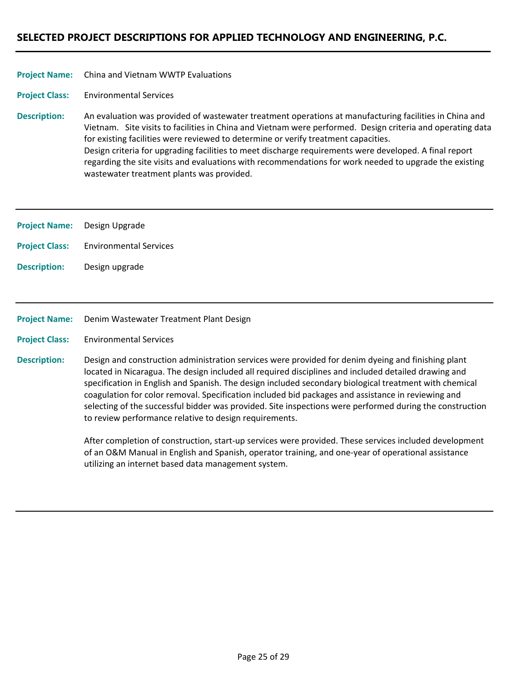#### China and Vietnam WWTP Evaluations **Project Name:**

Environmental Services **Project Class:**

An evaluation was provided of wastewater treatment operations at manufacturing facilities in China and Vietnam. Site visits to facilities in China and Vietnam were performed. Design criteria and operating data for existing facilities were reviewed to determine or verify treatment capacities. Design criteria for upgrading facilities to meet discharge requirements were developed. A final report regarding the site visits and evaluations with recommendations for work needed to upgrade the existing wastewater treatment plants was provided. **Description:**

| <b>Project Name:</b> Design Upgrade |                                              |
|-------------------------------------|----------------------------------------------|
|                                     | <b>Project Class:</b> Environmental Services |
| <b>Description:</b>                 | Design upgrade                               |

#### Denim Wastewater Treatment Plant Design **Project Name:**

Environmental Services **Project Class:**

Design and construction administration services were provided for denim dyeing and finishing plant located in Nicaragua. The design included all required disciplines and included detailed drawing and specification in English and Spanish. The design included secondary biological treatment with chemical coagulation for color removal. Specification included bid packages and assistance in reviewing and selecting of the successful bidder was provided. Site inspections were performed during the construction to review performance relative to design requirements. **Description:**

> After completion of construction, start‐up services were provided. These services included development of an O&M Manual in English and Spanish, operator training, and one‐year of operational assistance utilizing an internet based data management system.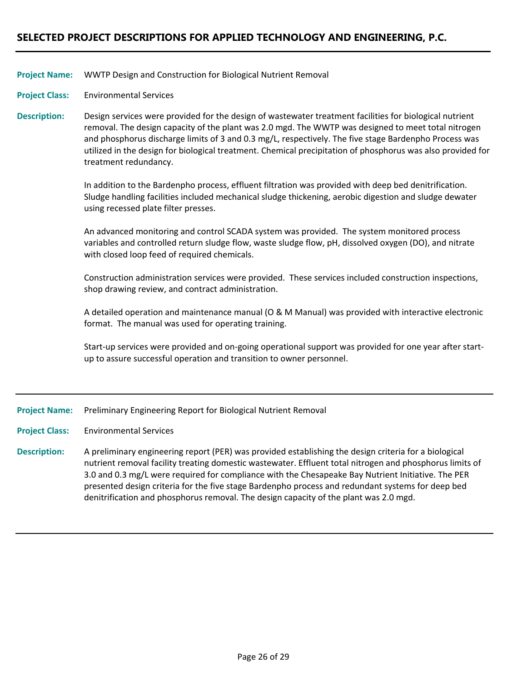### WWTP Design and Construction for Biological Nutrient Removal **Project Name:**

Environmental Services **Project Class:**

Design services were provided for the design of wastewater treatment facilities for biological nutrient removal. The design capacity of the plant was 2.0 mgd. The WWTP was designed to meet total nitrogen and phosphorus discharge limits of 3 and 0.3 mg/L, respectively. The five stage Bardenpho Process was utilized in the design for biological treatment. Chemical precipitation of phosphorus was also provided for treatment redundancy. **Description:**

> In addition to the Bardenpho process, effluent filtration was provided with deep bed denitrification. Sludge handling facilities included mechanical sludge thickening, aerobic digestion and sludge dewater using recessed plate filter presses.

> An advanced monitoring and control SCADA system was provided. The system monitored process variables and controlled return sludge flow, waste sludge flow, pH, dissolved oxygen (DO), and nitrate with closed loop feed of required chemicals.

> Construction administration services were provided. These services included construction inspections, shop drawing review, and contract administration.

A detailed operation and maintenance manual (O & M Manual) was provided with interactive electronic format. The manual was used for operating training.

Start-up services were provided and on-going operational support was provided for one year after startup to assure successful operation and transition to owner personnel.

#### Preliminary Engineering Report for Biological Nutrient Removal **Project Name:**

- Environmental Services **Project Class:**
- A preliminary engineering report (PER) was provided establishing the design criteria for a biological nutrient removal facility treating domestic wastewater. Effluent total nitrogen and phosphorus limits of 3.0 and 0.3 mg/L were required for compliance with the Chesapeake Bay Nutrient Initiative. The PER presented design criteria for the five stage Bardenpho process and redundant systems for deep bed denitrification and phosphorus removal. The design capacity of the plant was 2.0 mgd. **Description:**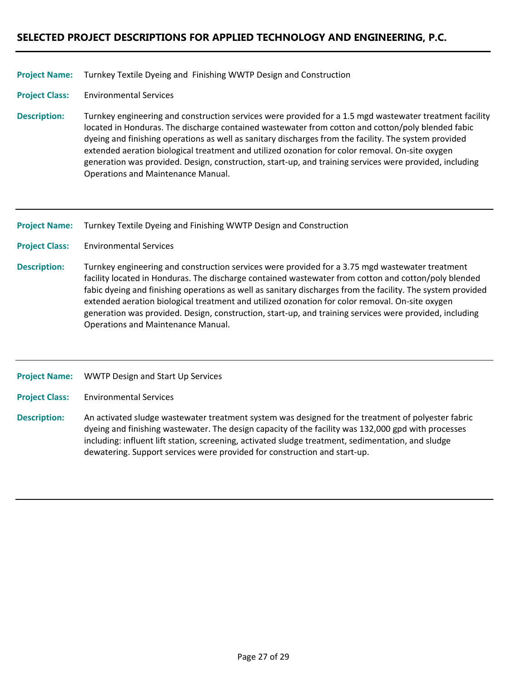### Turnkey Textile Dyeing and Finishing WWTP Design and Construction **Project Name:**

Environmental Services **Project Class:**

Turnkey engineering and construction services were provided for a 1.5 mgd wastewater treatment facility located in Honduras. The discharge contained wastewater from cotton and cotton/poly blended fabic dyeing and finishing operations as well as sanitary discharges from the facility. The system provided extended aeration biological treatment and utilized ozonation for color removal. On‐site oxygen generation was provided. Design, construction, start‐up, and training services were provided, including Operations and Maintenance Manual. **Description:**

Turnkey Textile Dyeing and Finishing WWTP Design and Construction **Project Name:**

- Environmental Services **Project Class:**
- Turnkey engineering and construction services were provided for a 3.75 mgd wastewater treatment facility located in Honduras. The discharge contained wastewater from cotton and cotton/poly blended fabic dyeing and finishing operations as well as sanitary discharges from the facility. The system provided extended aeration biological treatment and utilized ozonation for color removal. On‐site oxygen generation was provided. Design, construction, start‐up, and training services were provided, including Operations and Maintenance Manual. **Description:**

WWTP Design and Start Up Services **Project Name:**

Environmental Services **Project Class:**

An activated sludge wastewater treatment system was designed for the treatment of polyester fabric dyeing and finishing wastewater. The design capacity of the facility was 132,000 gpd with processes including: influent lift station, screening, activated sludge treatment, sedimentation, and sludge dewatering. Support services were provided for construction and start‐up. **Description:**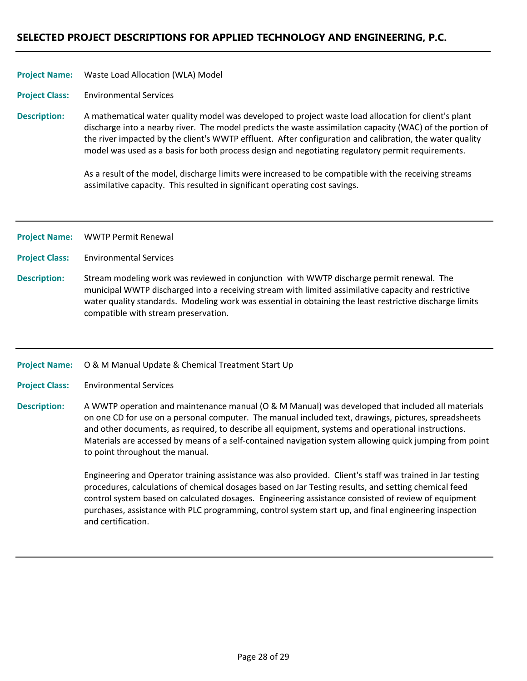### Waste Load Allocation (WLA) Model **Project Name:**

Environmental Services **Project Class:**

A mathematical water quality model was developed to project waste load allocation for client's plant discharge into a nearby river. The model predicts the waste assimilation capacity (WAC) of the portion of the river impacted by the client's WWTP effluent. After configuration and calibration, the water quality model was used as a basis for both process design and negotiating regulatory permit requirements. **Description:**

> As a result of the model, discharge limits were increased to be compatible with the receiving streams assimilative capacity. This resulted in significant operating cost savings.

- WWTP Permit Renewal **Project Name:**
- Environmental Services **Project Class:**
- Stream modeling work was reviewed in conjunction with WWTP discharge permit renewal. The municipal WWTP discharged into a receiving stream with limited assimilative capacity and restrictive water quality standards. Modeling work was essential in obtaining the least restrictive discharge limits compatible with stream preservation. **Description:**

#### O & M Manual Update & Chemical Treatment Start Up **Project Name:**

Environmental Services **Project Class:**

A WWTP operation and maintenance manual (O & M Manual) was developed that included all materials on one CD for use on a personal computer. The manual included text, drawings, pictures, spreadsheets and other documents, as required, to describe all equipment, systems and operational instructions. Materials are accessed by means of a self‐contained navigation system allowing quick jumping from point to point throughout the manual. **Description:**

> Engineering and Operator training assistance was also provided. Client's staff was trained in Jar testing procedures, calculations of chemical dosages based on Jar Testing results, and setting chemical feed control system based on calculated dosages. Engineering assistance consisted of review of equipment purchases, assistance with PLC programming, control system start up, and final engineering inspection and certification.